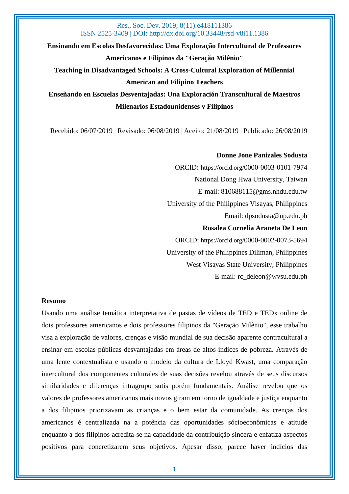**Ensinando em Escolas Desfavorecidas: Uma Exploração Intercultural de Professores Americanos e Filipinos da "Geração Milênio"**

**Teaching in Disadvantaged Schools: A Cross-Cultural Exploration of Millennial American and Filipino Teachers**

**Enseñando en Escuelas Desventajadas: Una Exploración Transcultural de Maestros Milenarios Estadounidenses y Filipinos**

Recebido: 06/07/2019 | Revisado: 06/08/2019 | Aceito: 21/08/2019 | Publicado: 26/08/2019

#### **Donne Jone Panizales Sodusta**

ORCID**:** https://orcid.org/0000-0003-0101-7974 National Dong Hwa University, Taiwan E-mail: 810688115@gms.nhdu.edu.tw University of the Philippines Visayas, Philippines Email: dpsodusta@up.edu.ph **Rosalea Cornelia Araneta De Leon** ORCID: https://orcid.org/0000-0002-0073-5694 University of the Philippines Diliman, Philippines West Visayas State University, Philippines

E-mail: rc\_deleon@wvsu.edu.ph

#### **Resumo**

Usando uma análise temática interpretativa de pastas de vídeos de TED e TEDx online de dois professores americanos e dois professores filipinos da "Geração Milênio", esse trabalho visa a exploração de valores, crenças e visão mundial de sua decisão aparente contracultural a ensinar em escolas públicas desvantajadas em áreas de altos índices de pobreza. Através de uma lente contextualista e usando o modelo da cultura de Lloyd Kwast, uma comparação intercultural dos componentes culturales de suas decisões revelou através de seus discursos similaridades e diferenças intragrupo sutis porém fundamentais. Análise revelou que os valores de professores americanos mais novos giram em torno de igualdade e justiça enquanto a dos filipinos priorizavam as crianças e o bem estar da comunidade. As crenças dos americanos é centralizada na a potência das oportunidades sócioeconômicas e atitude enquanto a dos filipinos acredita-se na capacidade da contribuição sincera e enfatiza aspectos positivos para concretizarem seus objetivos. Apesar disso, parece haver indícios das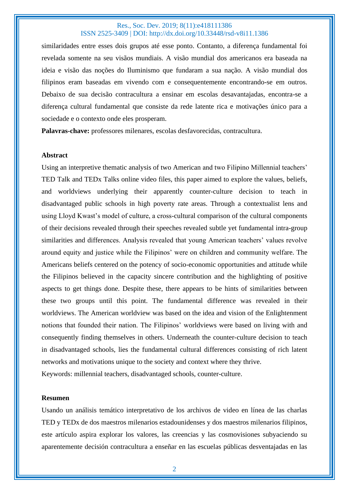similaridades entre esses dois grupos até esse ponto. Contanto, a diferença fundamental foi revelada somente na seu visãos mundiais. A visão mundial dos americanos era baseada na ideia e visão das noções do Iluminismo que fundaram a sua nação. A visão mundial dos filipinos eram baseadas em vivendo com e consequentemente encontrando-se em outros. Debaixo de sua decisão contracultura a ensinar em escolas desavantajadas, encontra-se a diferença cultural fundamental que consiste da rede latente rica e motivações único para a sociedade e o contexto onde eles prosperam.

**Palavras-chave:** professores milenares, escolas desfavorecidas, contracultura.

#### **Abstract**

Using an interpretive thematic analysis of two American and two Filipino Millennial teachers' TED Talk and TEDx Talks online video files, this paper aimed to explore the values, beliefs, and worldviews underlying their apparently counter-culture decision to teach in disadvantaged public schools in high poverty rate areas. Through a contextualist lens and using Lloyd Kwast's model of culture, a cross-cultural comparison of the cultural components of their decisions revealed through their speeches revealed subtle yet fundamental intra-group similarities and differences. Analysis revealed that young American teachers' values revolve around equity and justice while the Filipinos' were on children and community welfare. The Americans beliefs centered on the potency of socio-economic opportunities and attitude while the Filipinos believed in the capacity sincere contribution and the highlighting of positive aspects to get things done. Despite these, there appears to be hints of similarities between these two groups until this point. The fundamental difference was revealed in their worldviews. The American worldview was based on the idea and vision of the Enlightenment notions that founded their nation. The Filipinos' worldviews were based on living with and consequently finding themselves in others. Underneath the counter-culture decision to teach in disadvantaged schools, lies the fundamental cultural differences consisting of rich latent networks and motivations unique to the society and context where they thrive. Keywords: millennial teachers, disadvantaged schools, counter-culture.

#### **Resumen**

Usando un análisis temático interpretativo de los archivos de video en línea de las charlas TED y TEDx de dos maestros milenarios estadounidenses y dos maestros milenarios filipinos, este artículo aspira explorar los valores, las creencias y las cosmovisiones subyaciendo su aparentemente decisión contracultura a enseñar en las escuelas públicas desventajadas en las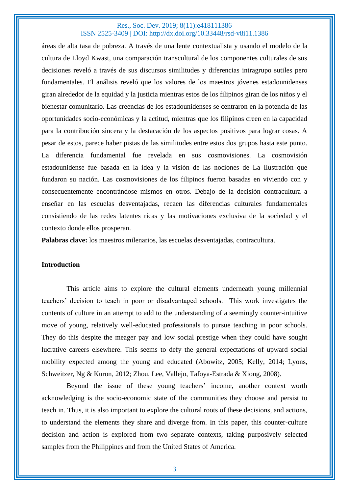áreas de alta tasa de pobreza. A través de una lente contextualista y usando el modelo de la cultura de Lloyd Kwast, una comparación transcultural de los componentes culturales de sus decisiones reveló a través de sus discursos similitudes y diferencias intragrupo sutiles pero fundamentales. El análisis reveló que los valores de los maestros jóvenes estadounidenses giran alrededor de la equidad y la justicia mientras estos de los filipinos giran de los niños y el bienestar comunitario. Las creencias de los estadounidenses se centraron en la potencia de las oportunidades socio-económicas y la actitud, mientras que los filipinos creen en la capacidad para la contribución sincera y la destacación de los aspectos positivos para lograr cosas. A pesar de estos, parece haber pistas de las similitudes entre estos dos grupos hasta este punto. La diferencia fundamental fue revelada en sus cosmovisiones. La cosmovisión estadounidense fue basada en la idea y la visión de las nociones de La Ilustración que fundaron su nación. Las cosmovisiones de los filipinos fueron basadas en viviendo con y consecuentemente encontrándose mismos en otros. Debajo de la decisión contracultura a enseñar en las escuelas desventajadas, recaen las diferencias culturales fundamentales consistiendo de las redes latentes ricas y las motivaciones exclusiva de la sociedad y el contexto donde ellos prosperan.

**Palabras clave:** los maestros milenarios, las escuelas desventajadas, contracultura.

#### **Introduction**

This article aims to explore the cultural elements underneath young millennial teachers' decision to teach in poor or disadvantaged schools. This work investigates the contents of culture in an attempt to add to the understanding of a seemingly counter-intuitive move of young, relatively well-educated professionals to pursue teaching in poor schools. They do this despite the meager pay and low social prestige when they could have sought lucrative careers elsewhere. This seems to defy the general expectations of upward social mobility expected among the young and educated (Abowitz, 2005; Kelly, 2014; Lyons, Schweitzer, Ng & Kuron, 2012; Zhou, Lee, Vallejo, Tafoya-Estrada & Xiong, 2008).

Beyond the issue of these young teachers' income, another context worth acknowledging is the socio-economic state of the communities they choose and persist to teach in. Thus, it is also important to explore the cultural roots of these decisions, and actions, to understand the elements they share and diverge from. In this paper, this counter-culture decision and action is explored from two separate contexts, taking purposively selected samples from the Philippines and from the United States of America.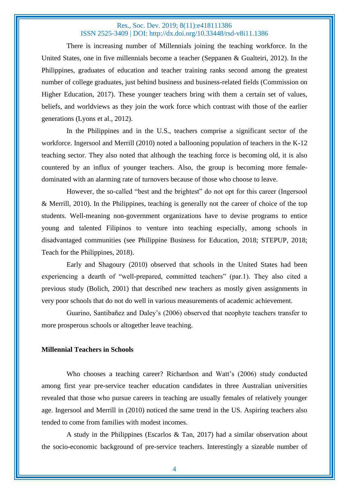There is increasing number of Millennials joining the teaching workforce. In the United States, one in five millennials become a teacher (Seppanen & Gualteiri, 2012). In the Philippines, graduates of education and teacher training ranks second among the greatest number of college graduates, just behind business and business-related fields (Commission on Higher Education, 2017). These younger teachers bring with them a certain set of values, beliefs, and worldviews as they join the work force which contrast with those of the earlier generations (Lyons et al., 2012).

In the Philippines and in the U.S., teachers comprise a significant sector of the workforce. Ingersool and Merrill (2010) noted a ballooning population of teachers in the K-12 teaching sector. They also noted that although the teaching force is becoming old, it is also countered by an influx of younger teachers. Also, the group is becoming more femaledominated with an alarming rate of turnovers because of those who choose to leave.

However, the so-called "best and the brightest" do not opt for this career (Ingersool & Merrill, 2010). In the Philippines, teaching is generally not the career of choice of the top students. Well-meaning non-government organizations have to devise programs to entice young and talented Filipinos to venture into teaching especially, among schools in disadvantaged communities (see Philippine Business for Education, 2018; STEPUP, 2018; Teach for the Philippines, 2018).

Early and Shagoury (2010) observed that schools in the United States had been experiencing a dearth of "well-prepared, committed teachers" (par.1). They also cited a previous study (Bolich, 2001) that described new teachers as mostly given assignments in very poor schools that do not do well in various measurements of academic achievement.

Guarino, Santibañez and Daley's (2006) observed that neophyte teachers transfer to more prosperous schools or altogether leave teaching.

#### **Millennial Teachers in Schools**

Who chooses a teaching career? Richardson and Watt's (2006) study conducted among first year pre-service teacher education candidates in three Australian universities revealed that those who pursue careers in teaching are usually females of relatively younger age. Ingersool and Merrill in (2010) noticed the same trend in the US. Aspiring teachers also tended to come from families with modest incomes.

A study in the Philippines (Escarlos & Tan, 2017) had a similar observation about the socio-economic background of pre-service teachers. Interestingly a sizeable number of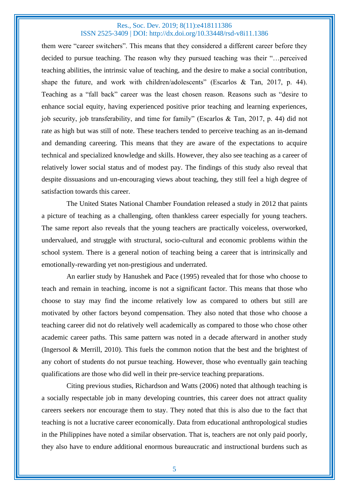them were "career switchers". This means that they considered a different career before they decided to pursue teaching. The reason why they pursued teaching was their "…perceived teaching abilities, the intrinsic value of teaching, and the desire to make a social contribution, shape the future, and work with children/adolescents" (Escarlos & Tan, 2017, p. 44). Teaching as a "fall back" career was the least chosen reason. Reasons such as "desire to enhance social equity, having experienced positive prior teaching and learning experiences, job security, job transferability, and time for family" (Escarlos & Tan, 2017, p. 44) did not rate as high but was still of note. These teachers tended to perceive teaching as an in-demand and demanding careering. This means that they are aware of the expectations to acquire technical and specialized knowledge and skills. However, they also see teaching as a career of relatively lower social status and of modest pay. The findings of this study also reveal that despite dissuasions and un-encouraging views about teaching, they still feel a high degree of satisfaction towards this career.

The United States National Chamber Foundation released a study in 2012 that paints a picture of teaching as a challenging, often thankless career especially for young teachers. The same report also reveals that the young teachers are practically voiceless, overworked, undervalued, and struggle with structural, socio-cultural and economic problems within the school system. There is a general notion of teaching being a career that is intrinsically and emotionally-rewarding yet non-prestigious and underrated.

An earlier study by Hanushek and Pace (1995) revealed that for those who choose to teach and remain in teaching, income is not a significant factor. This means that those who choose to stay may find the income relatively low as compared to others but still are motivated by other factors beyond compensation. They also noted that those who choose a teaching career did not do relatively well academically as compared to those who chose other academic career paths. This same pattern was noted in a decade afterward in another study (Ingersool & Merrill, 2010). This fuels the common notion that the best and the brightest of any cohort of students do not pursue teaching. However, those who eventually gain teaching qualifications are those who did well in their pre-service teaching preparations.

Citing previous studies, Richardson and Watts (2006) noted that although teaching is a socially respectable job in many developing countries, this career does not attract quality careers seekers nor encourage them to stay. They noted that this is also due to the fact that teaching is not a lucrative career economically. Data from educational anthropological studies in the Philippines have noted a similar observation. That is, teachers are not only paid poorly, they also have to endure additional enormous bureaucratic and instructional burdens such as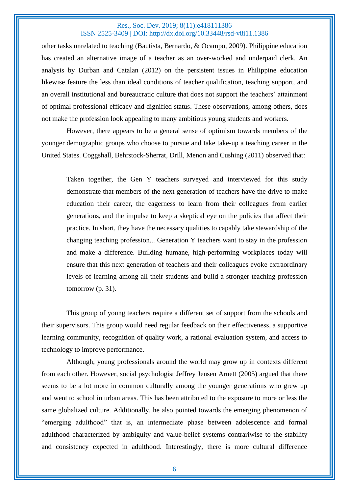other tasks unrelated to teaching (Bautista, Bernardo, & Ocampo, 2009). Philippine education has created an alternative image of a teacher as an over-worked and underpaid clerk. An analysis by Durban and Catalan (2012) on the persistent issues in Philippine education likewise feature the less than ideal conditions of teacher qualification, teaching support, and an overall institutional and bureaucratic culture that does not support the teachers' attainment of optimal professional efficacy and dignified status. These observations, among others, does not make the profession look appealing to many ambitious young students and workers.

However, there appears to be a general sense of optimism towards members of the younger demographic groups who choose to pursue and take take-up a teaching career in the United States. Coggshall, Behrstock-Sherrat, Drill, Menon and Cushing (2011) observed that:

Taken together, the Gen Y teachers surveyed and interviewed for this study demonstrate that members of the next generation of teachers have the drive to make education their career, the eagerness to learn from their colleagues from earlier generations, and the impulse to keep a skeptical eye on the policies that affect their practice. In short, they have the necessary qualities to capably take stewardship of the changing teaching profession... Generation Y teachers want to stay in the profession and make a difference. Building humane, high-performing workplaces today will ensure that this next generation of teachers and their colleagues evoke extraordinary levels of learning among all their students and build a stronger teaching profession tomorrow (p. 31).

This group of young teachers require a different set of support from the schools and their supervisors. This group would need regular feedback on their effectiveness, a supportive learning community, recognition of quality work, a rational evaluation system, and access to technology to improve performance.

Although, young professionals around the world may grow up in contexts different from each other. However, social psychologist Jeffrey Jensen Arnett (2005) argued that there seems to be a lot more in common culturally among the younger generations who grew up and went to school in urban areas. This has been attributed to the exposure to more or less the same globalized culture. Additionally, he also pointed towards the emerging phenomenon of "emerging adulthood" that is, an intermediate phase between adolescence and formal adulthood characterized by ambiguity and value-belief systems contrariwise to the stability and consistency expected in adulthood. Interestingly, there is more cultural difference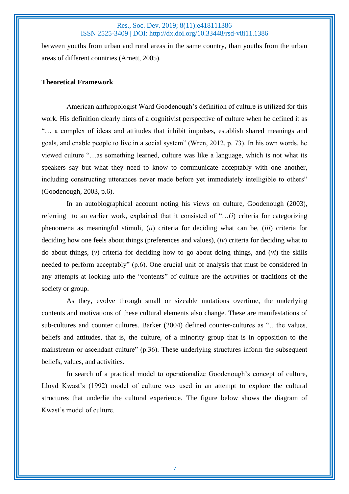between youths from urban and rural areas in the same country, than youths from the urban areas of different countries (Arnett, 2005).

### **Theoretical Framework**

American anthropologist Ward Goodenough's definition of culture is utilized for this work. His definition clearly hints of a cognitivist perspective of culture when he defined it as "… a complex of ideas and attitudes that inhibit impulses, establish shared meanings and goals, and enable people to live in a social system" (Wren, 2012, p. 73). In his own words, he viewed culture "…as something learned, culture was like a language, which is not what its speakers say but what they need to know to communicate acceptably with one another, including constructing utterances never made before yet immediately intelligible to others" (Goodenough, 2003, p.6).

In an autobiographical account noting his views on culture, Goodenough (2003), referring to an earlier work, explained that it consisted of "…(*i*) criteria for categorizing phenomena as meaningful stimuli, (*ii*) criteria for deciding what can be, (*iii*) criteria for deciding how one feels about things (preferences and values), (*iv*) criteria for deciding what to do about things, (*v*) criteria for deciding how to go about doing things, and (*vi*) the skills needed to perform acceptably" (p.6). One crucial unit of analysis that must be considered in any attempts at looking into the "contents" of culture are the activities or traditions of the society or group.

As they, evolve through small or sizeable mutations overtime, the underlying contents and motivations of these cultural elements also change. These are manifestations of sub-cultures and counter cultures. Barker (2004) defined counter-cultures as "…the values, beliefs and attitudes, that is, the culture, of a minority group that is in opposition to the mainstream or ascendant culture" (p.36). These underlying structures inform the subsequent beliefs, values, and activities.

In search of a practical model to operationalize Goodenough's concept of culture, Lloyd Kwast's (1992) model of culture was used in an attempt to explore the cultural structures that underlie the cultural experience. The figure below shows the diagram of Kwast's model of culture.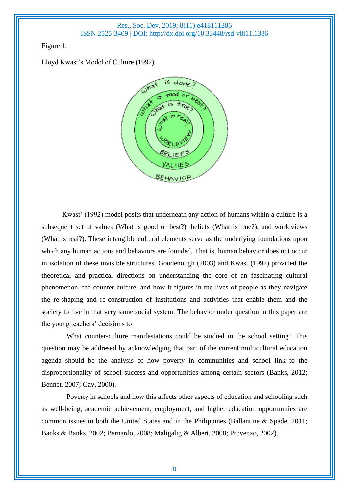Figure 1.

Lloyd Kwast's Model of Culture (1992)



Kwast' (1992) model posits that underneath any action of humans within a culture is a subsequent set of values (What is good or best?), beliefs (What is true?), and worldviews (What is real?). These intangible cultural elements serve as the underlying foundations upon which any human actions and behaviors are founded. That is, human behavior does not occur in isolation of these invisible structures. Goodenough (2003) and Kwast (1992) provided the theoretical and practical directions on understanding the core of an fascinating cultural phenomenon, the counter-culture, and how it figures in the lives of people as they navigate the re-shaping and re-construction of institutions and activities that enable them and the society to live in that very same social system. The behavior under question in this paper are the young teachers' decisions to

What counter-culture manifestations could be studied in the school setting? This question may be addresed by acknowledging that part of the current multicultural education agenda should be the analysis of how poverty in communities and school link to the disproportionality of school success and opportunities among certain sectors (Banks, 2012; Bennet, 2007; Gay, 2000).

Poverty in schools and how this affects other aspects of education and schooling such as well-being, academic achievement, employment, and higher education opportunities are common issues in both the United States and in the Philippines (Ballantine & Spade, 2011; Banks & Banks, 2002; Bernardo, 2008; Maligalig & Albert, 2008; Provenzo, 2002).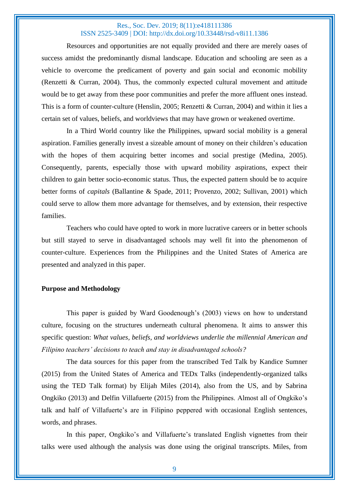Resources and opportunities are not equally provided and there are merely oases of success amidst the predominantly dismal landscape. Education and schooling are seen as a vehicle to overcome the predicament of poverty and gain social and economic mobility (Renzetti & Curran, 2004). Thus, the commonly expected cultural movement and attitude would be to get away from these poor communities and prefer the more affluent ones instead. This is a form of counter-culture (Henslin, 2005; Renzetti & Curran, 2004) and within it lies a certain set of values, beliefs, and worldviews that may have grown or weakened overtime.

In a Third World country like the Philippines, upward social mobility is a general aspiration. Families generally invest a sizeable amount of money on their children's education with the hopes of them acquiring better incomes and social prestige (Medina, 2005). Consequently, parents, especially those with upward mobility aspirations, expect their children to gain better socio-economic status. Thus, the expected pattern should be to acquire better forms of *capitals* (Ballantine & Spade, 2011; Provenzo, 2002; Sullivan, 2001) which could serve to allow them more advantage for themselves, and by extension, their respective families.

Teachers who could have opted to work in more lucrative careers or in better schools but still stayed to serve in disadvantaged schools may well fit into the phenomenon of counter-culture. Experiences from the Philippines and the United States of America are presented and analyzed in this paper.

#### **Purpose and Methodology**

This paper is guided by Ward Goodenough's (2003) views on how to understand culture, focusing on the structures underneath cultural phenomena. It aims to answer this specific question: *What values, beliefs, and worldviews underlie the millennial American and Filipino teachers' decisions to teach and stay in disadvantaged schools?*

The data sources for this paper from the transcribed Ted Talk by Kandice Sumner (2015) from the United States of America and TEDx Talks (independently-organized talks using the TED Talk format) by Elijah Miles (2014), also from the US, and by Sabrina Ongkiko (2013) and Delfin Villafuerte (2015) from the Philippines. Almost all of Ongkiko's talk and half of Villafuerte's are in Filipino peppered with occasional English sentences, words, and phrases.

In this paper, Ongkiko's and Villafuerte's translated English vignettes from their talks were used although the analysis was done using the original transcripts. Miles, from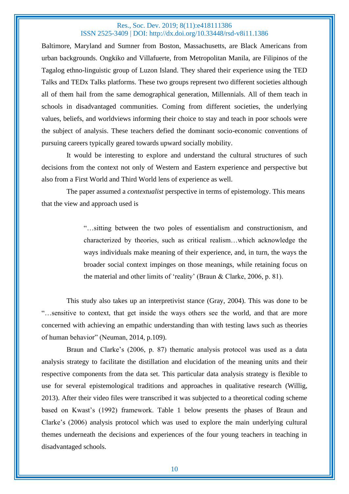Baltimore, Maryland and Sumner from Boston, Massachusetts, are Black Americans from urban backgrounds. Ongkiko and Villafuerte, from Metropolitan Manila, are Filipinos of the Tagalog ethno-linguistic group of Luzon Island. They shared their experience using the TED Talks and TEDx Talks platforms. These two groups represent two different societies although all of them hail from the same demographical generation, Millennials. All of them teach in schools in disadvantaged communities. Coming from different societies, the underlying values, beliefs, and worldviews informing their choice to stay and teach in poor schools were the subject of analysis. These teachers defied the dominant socio-economic conventions of pursuing careers typically geared towards upward socially mobility.

It would be interesting to explore and understand the cultural structures of such decisions from the context not only of Western and Eastern experience and perspective but also from a First World and Third World lens of experience as well.

The paper assumed a *contextualist* perspective in terms of epistemology. This means that the view and approach used is

> "…sitting between the two poles of essentialism and constructionism, and characterized by theories, such as critical realism…which acknowledge the ways individuals make meaning of their experience, and, in turn, the ways the broader social context impinges on those meanings, while retaining focus on the material and other limits of 'reality' (Braun & Clarke, 2006, p. 81).

This study also takes up an interpretivist stance (Gray, 2004). This was done to be "…sensitive to context, that get inside the ways others see the world, and that are more concerned with achieving an empathic understanding than with testing laws such as theories of human behavior" (Neuman, 2014, p.109).

Braun and Clarke's (2006, p. 87) thematic analysis protocol was used as a data analysis strategy to facilitate the distillation and elucidation of the meaning units and their respective components from the data set. This particular data analysis strategy is flexible to use for several epistemological traditions and approaches in qualitative research (Willig, 2013). After their video files were transcribed it was subjected to a theoretical coding scheme based on Kwast's (1992) framework. Table 1 below presents the phases of Braun and Clarke's (2006) analysis protocol which was used to explore the main underlying cultural themes underneath the decisions and experiences of the four young teachers in teaching in disadvantaged schools.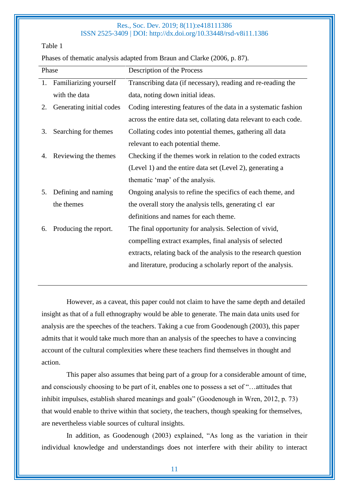Table 1

Phases of thematic analysis adapted from Braun and Clarke (2006, p. 87).

| Phase |                           | Description of the Process                                        |
|-------|---------------------------|-------------------------------------------------------------------|
|       | 1. Familiarizing yourself | Transcribing data (if necessary), reading and re-reading the      |
|       | with the data             | data, noting down initial ideas.                                  |
| 2.    | Generating initial codes  | Coding interesting features of the data in a systematic fashion   |
|       |                           | across the entire data set, collating data relevant to each code. |
| 3.    | Searching for themes      | Collating codes into potential themes, gathering all data         |
|       |                           | relevant to each potential theme.                                 |
| 4.    | Reviewing the themes      | Checking if the themes work in relation to the coded extracts     |
|       |                           | (Level 1) and the entire data set (Level 2), generating a         |
|       |                           | thematic 'map' of the analysis.                                   |
| 5.    | Defining and naming       | Ongoing analysis to refine the specifics of each theme, and       |
|       | the themes                | the overall story the analysis tells, generating cl ear           |
|       |                           | definitions and names for each theme.                             |
| 6.    | Producing the report.     | The final opportunity for analysis. Selection of vivid,           |
|       |                           | compelling extract examples, final analysis of selected           |
|       |                           | extracts, relating back of the analysis to the research question  |
|       |                           | and literature, producing a scholarly report of the analysis.     |
|       |                           |                                                                   |

However, as a caveat, this paper could not claim to have the same depth and detailed insight as that of a full ethnography would be able to generate. The main data units used for analysis are the speeches of the teachers. Taking a cue from Goodenough (2003), this paper admits that it would take much more than an analysis of the speeches to have a convincing account of the cultural complexities where these teachers find themselves in thought and action.

This paper also assumes that being part of a group for a considerable amount of time, and consciously choosing to be part of it, enables one to possess a set of "…attitudes that inhibit impulses, establish shared meanings and goals" (Goodenough in Wren, 2012, p. 73) that would enable to thrive within that society, the teachers, though speaking for themselves, are nevertheless viable sources of cultural insights.

In addition, as Goodenough (2003) explained, "As long as the variation in their individual knowledge and understandings does not interfere with their ability to interact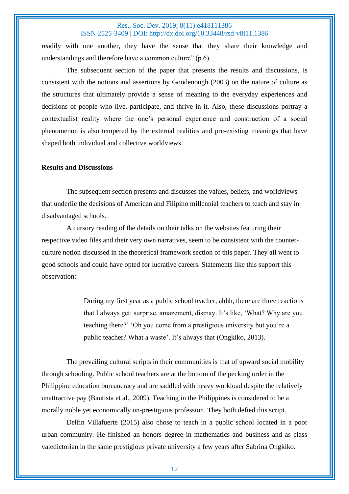readily with one another, they have the sense that they share their knowledge and understandings and therefore have a common culture" (p.6).

The subsequent section of the paper that presents the results and discussions, is consistent with the notions and assertions by Goodenough (2003) on the nature of culture as the structures that ultimately provide a sense of meaning to the everyday experiences and decisions of people who live, participate, and thrive in it. Also, these discussions portray a contextualist reality where the one's personal experience and construction of a social phenomenon is also tempered by the external realities and pre-existing meanings that have shaped both individual and collective worldviews.

### **Results and Discussions**

The subsequent section presents and discusses the values, beliefs, and worldviews that underlie the decisions of American and Filipino millennial teachers to teach and stay in disadvantaged schools.

A cursory reading of the details on their talks on the websites featuring their respective video files and their very own narratives, seem to be consistent with the counterculture notion discussed in the theoretical framework section of this paper. They all went to good schools and could have opted for lucrative careers. Statements like this support this observation:

> During my first year as a public school teacher, ahhh, there are three reactions that I always get: surprise, amazement, dismay. It's like, 'What? Why are you teaching there?' 'Oh you come from a prestigious university but you're a public teacher? What a waste'. It's always that (Ongkiko, 2013).

The prevailing cultural scripts in their communities is that of upward social mobility through schooling. Public school teachers are at the bottom of the pecking order in the Philippine education bureaucracy and are saddled with heavy workload despite the relatively unattractive pay (Bautista et al., 2009). Teaching in the Philippines is considered to be a morally noble yet economically un-prestigious profession. They both defied this script.

Delfin Villafuerte (2015) also chose to teach in a public school located in a poor urban community. He finished an honors degree in mathematics and business and as class valedictorian in the same prestigious private university a few years after Sabrina Ongkiko.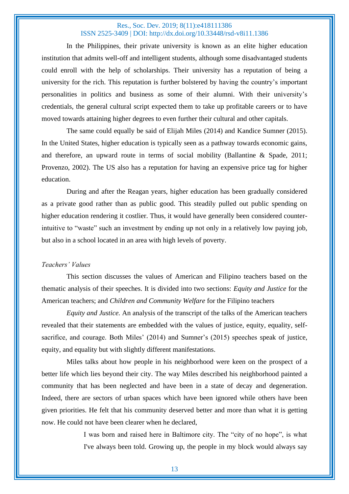In the Philippines, their private university is known as an elite higher education institution that admits well-off and intelligent students, although some disadvantaged students could enroll with the help of scholarships. Their university has a reputation of being a university for the rich. This reputation is further bolstered by having the country's important personalities in politics and business as some of their alumni. With their university's credentials, the general cultural script expected them to take up profitable careers or to have moved towards attaining higher degrees to even further their cultural and other capitals.

The same could equally be said of Elijah Miles (2014) and Kandice Sumner (2015). In the United States, higher education is typically seen as a pathway towards economic gains, and therefore, an upward route in terms of social mobility (Ballantine & Spade, 2011; Provenzo, 2002). The US also has a reputation for having an expensive price tag for higher education.

During and after the Reagan years, higher education has been gradually considered as a private good rather than as public good. This steadily pulled out public spending on higher education rendering it costlier. Thus, it would have generally been considered counterintuitive to "waste" such an investment by ending up not only in a relatively low paying job, but also in a school located in an area with high levels of poverty.

#### *Teachers' Values*

This section discusses the values of American and Filipino teachers based on the thematic analysis of their speeches. It is divided into two sections: *Equity and Justice* for the American teachers; and *Children and Community Welfare* for the Filipino teachers

*Equity and Justice.* An analysis of the transcript of the talks of the American teachers revealed that their statements are embedded with the values of justice, equity, equality, selfsacrifice, and courage. Both Miles' (2014) and Sumner's (2015) speeches speak of justice, equity, and equality but with slightly different manifestations.

Miles talks about how people in his neighborhood were keen on the prospect of a better life which lies beyond their city. The way Miles described his neighborhood painted a community that has been neglected and have been in a state of decay and degeneration. Indeed, there are sectors of urban spaces which have been ignored while others have been given priorities. He felt that his community deserved better and more than what it is getting now. He could not have been clearer when he declared,

> I was born and raised here in Baltimore city. The "city of no hope", is what I've always been told. Growing up, the people in my block would always say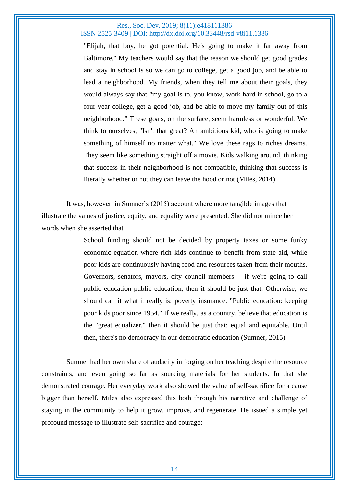"Elijah, that boy, he got potential. He's going to make it far away from Baltimore." My teachers would say that the reason we should get good grades and stay in school is so we can go to college, get a good job, and be able to lead a neighborhood. My friends, when they tell me about their goals, they would always say that "my goal is to, you know, work hard in school, go to a four-year college, get a good job, and be able to move my family out of this neighborhood." These goals, on the surface, seem harmless or wonderful. We think to ourselves, "Isn't that great? An ambitious kid, who is going to make something of himself no matter what." We love these rags to riches dreams. They seem like something straight off a movie. Kids walking around, thinking that success in their neighborhood is not compatible, thinking that success is literally whether or not they can leave the hood or not (Miles, 2014).

It was, however, in Sumner's (2015) account where more tangible images that illustrate the values of justice, equity, and equality were presented. She did not mince her words when she asserted that

> School funding should not be decided by property taxes or some funky economic equation where rich kids continue to benefit from state aid, while poor kids are continuously having food and resources taken from their mouths. Governors, senators, mayors, city council members -- if we're going to call public education public education, then it should be just that. Otherwise, we should call it what it really is: poverty insurance. "Public education: keeping poor kids poor since 1954." If we really, as a country, believe that education is the "great equalizer," then it should be just that: equal and equitable. Until then, there's no democracy in our democratic education (Sumner, 2015)

Sumner had her own share of audacity in forging on her teaching despite the resource constraints, and even going so far as sourcing materials for her students. In that she demonstrated courage. Her everyday work also showed the value of self-sacrifice for a cause bigger than herself. Miles also expressed this both through his narrative and challenge of staying in the community to help it grow, improve, and regenerate. He issued a simple yet profound message to illustrate self-sacrifice and courage: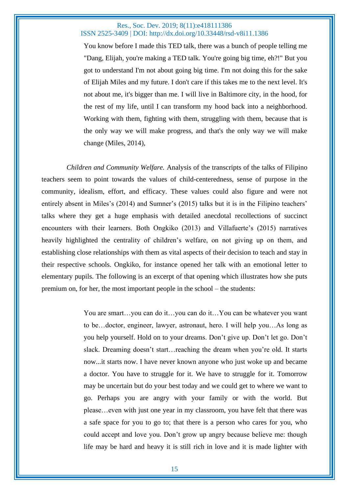You know before I made this TED talk, there was a bunch of people telling me "Dang, Elijah, you're making a TED talk. You're going big time, eh?!" But you got to understand I'm not about going big time. I'm not doing this for the sake of Elijah Miles and my future. I don't care if this takes me to the next level. It's not about me, it's bigger than me. I will live in Baltimore city, in the hood, for the rest of my life, until I can transform my hood back into a neighborhood. Working with them, fighting with them, struggling with them, because that is the only way we will make progress, and that's the only way we will make change (Miles, 2014),

*Children and Community Welfare.* Analysis of the transcripts of the talks of Filipino teachers seem to point towards the values of child-centeredness, sense of purpose in the community, idealism, effort, and efficacy. These values could also figure and were not entirely absent in Miles's (2014) and Sumner's (2015) talks but it is in the Filipino teachers' talks where they get a huge emphasis with detailed anecdotal recollections of succinct encounters with their learners. Both Ongkiko (2013) and Villafuerte's (2015) narratives heavily highlighted the centrality of children's welfare, on not giving up on them, and establishing close relationships with them as vital aspects of their decision to teach and stay in their respective schools. Ongkiko, for instance opened her talk with an emotional letter to elementary pupils. The following is an excerpt of that opening which illustrates how she puts premium on, for her, the most important people in the school – the students:

> You are smart…you can do it…you can do it…You can be whatever you want to be…doctor, engineer, lawyer, astronaut, hero. I will help you…As long as you help yourself. Hold on to your dreams. Don't give up. Don't let go. Don't slack. Dreaming doesn't start…reaching the dream when you're old. It starts now...it starts now. I have never known anyone who just woke up and became a doctor. You have to struggle for it. We have to struggle for it. Tomorrow may be uncertain but do your best today and we could get to where we want to go. Perhaps you are angry with your family or with the world. But please…even with just one year in my classroom, you have felt that there was a safe space for you to go to; that there is a person who cares for you, who could accept and love you. Don't grow up angry because believe me: though life may be hard and heavy it is still rich in love and it is made lighter with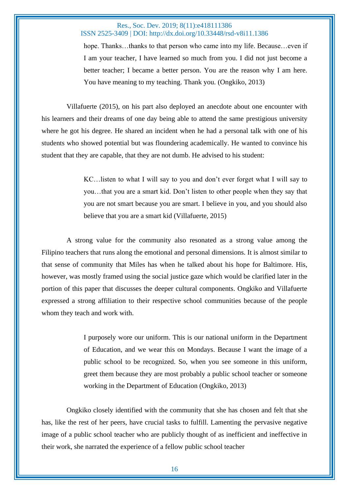hope. Thanks...thanks to that person who came into my life. Because...even if I am your teacher, I have learned so much from you. I did not just become a better teacher; I became a better person. You are the reason why I am here. You have meaning to my teaching. Thank you. (Ongkiko, 2013)

Villafuerte (2015), on his part also deployed an anecdote about one encounter with his learners and their dreams of one day being able to attend the same prestigious university where he got his degree. He shared an incident when he had a personal talk with one of his students who showed potential but was floundering academically. He wanted to convince his student that they are capable, that they are not dumb. He advised to his student:

> KC…listen to what I will say to you and don't ever forget what I will say to you…that you are a smart kid. Don't listen to other people when they say that you are not smart because you are smart. I believe in you, and you should also believe that you are a smart kid (Villafuerte, 2015)

A strong value for the community also resonated as a strong value among the Filipino teachers that runs along the emotional and personal dimensions. It is almost similar to that sense of community that Miles has when he talked about his hope for Baltimore. His, however, was mostly framed using the social justice gaze which would be clarified later in the portion of this paper that discusses the deeper cultural components. Ongkiko and Villafuerte expressed a strong affiliation to their respective school communities because of the people whom they teach and work with.

> I purposely wore our uniform. This is our national uniform in the Department of Education, and we wear this on Mondays. Because I want the image of a public school to be recognized. So, when you see someone in this uniform, greet them because they are most probably a public school teacher or someone working in the Department of Education (Ongkiko, 2013)

Ongkiko closely identified with the community that she has chosen and felt that she has, like the rest of her peers, have crucial tasks to fulfill. Lamenting the pervasive negative image of a public school teacher who are publicly thought of as inefficient and ineffective in their work, she narrated the experience of a fellow public school teacher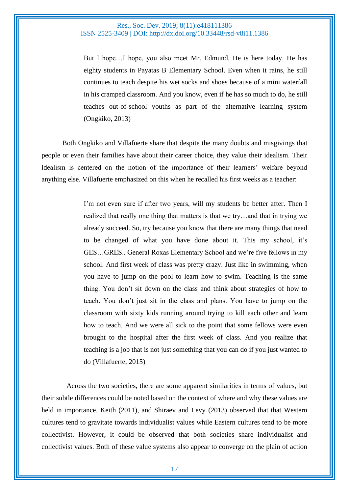But I hope…I hope, you also meet Mr. Edmund. He is here today. He has eighty students in Payatas B Elementary School. Even when it rains, he still continues to teach despite his wet socks and shoes because of a mini waterfall in his cramped classroom. And you know, even if he has so much to do, he still teaches out-of-school youths as part of the alternative learning system (Ongkiko, 2013)

Both Ongkiko and Villafuerte share that despite the many doubts and misgivings that people or even their families have about their career choice, they value their idealism. Their idealism is centered on the notion of the importance of their learners' welfare beyond anything else. Villafuerte emphasized on this when he recalled his first weeks as a teacher:

> I'm not even sure if after two years, will my students be better after. Then I realized that really one thing that matters is that we try…and that in trying we already succeed. So, try because you know that there are many things that need to be changed of what you have done about it. This my school, it's GES…GRES.. General Roxas Elementary School and we're five fellows in my school. And first week of class was pretty crazy. Just like in swimming, when you have to jump on the pool to learn how to swim. Teaching is the same thing. You don't sit down on the class and think about strategies of how to teach. You don't just sit in the class and plans. You have to jump on the classroom with sixty kids running around trying to kill each other and learn how to teach. And we were all sick to the point that some fellows were even brought to the hospital after the first week of class. And you realize that teaching is a job that is not just something that you can do if you just wanted to do (Villafuerte, 2015)

Across the two societies, there are some apparent similarities in terms of values, but their subtle differences could be noted based on the context of where and why these values are held in importance. Keith (2011), and Shiraev and Levy (2013) observed that that Western cultures tend to gravitate towards individualist values while Eastern cultures tend to be more collectivist. However, it could be observed that both societies share individualist and collectivist values. Both of these value systems also appear to converge on the plain of action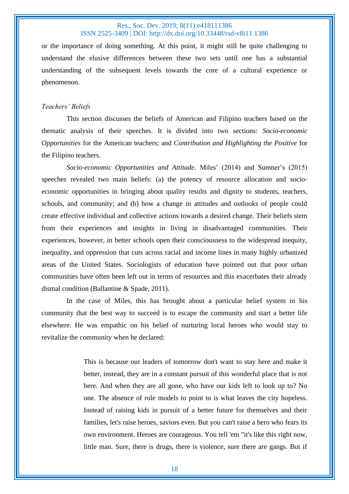or the importance of doing something. At this point, it might still be quite challenging to understand the elusive differences between these two sets until one has a substantial understanding of the subsequent levels towards the core of a cultural experience or phenomenon.

#### *Teachers' Beliefs*

This section discusses the beliefs of American and Filipino teachers based on the thematic analysis of their speeches. It is divided into two sections: *Socio-economic Opportunities* for the American teachers; and *Contribution and Highlighting the Positive* for the Filipino teachers.

*Socio-economic Opportunities and Attitude.* Miles' (2014) and Sumner's (2015) speeches revealed two main beliefs: (a) the potency of resource allocation and socioeconomic opportunities in bringing about quality results and dignity to students, teachers, schools, and community; and (b) how a change in attitudes and outlooks of people could create effective individual and collective actions towards a desired change. Their beliefs stem from their experiences and insights in living in disadvantaged communities. Their experiences, however, in better schools open their consciousness to the widespread inequity, inequality, and oppression that cuts across racial and income lines in many highly urbanized areas of the United States. Sociologists of education have pointed out that poor urban communities have often been left out in terms of resources and this exacerbates their already dismal condition (Ballantine & Spade, 2011).

In the case of Miles, this has brought about a particular belief system in his community that the best way to succeed is to escape the community and start a better life elsewhere. He was empathic on his belief of nurturing local heroes who would stay to revitalize the community when he declared:

> This is because our leaders of tomorrow don't want to stay here and make it better, instead, they are in a constant pursuit of this wonderful place that is not here. And when they are all gone, who have our kids left to look up to? No one. The absence of role models to point to is what leaves the city hopeless. Instead of raising kids in pursuit of a better future for themselves and their families, let's raise heroes, saviors even. But you can't raise a hero who fears its own environment. Heroes are courageous. You tell 'em "it's like this right now, little man. Sure, there is drugs, there is violence, sure there are gangs. But if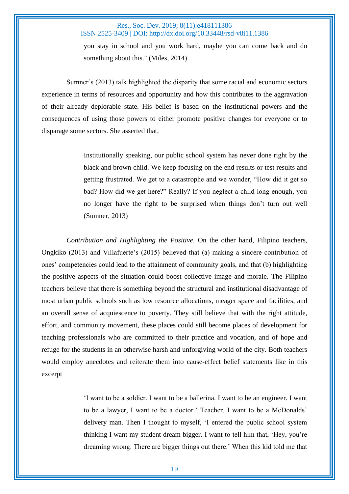you stay in school and you work hard, maybe you can come back and do something about this." (Miles, 2014)

Sumner's (2013) talk highlighted the disparity that some racial and economic sectors experience in terms of resources and opportunity and how this contributes to the aggravation of their already deplorable state. His belief is based on the institutional powers and the consequences of using those powers to either promote positive changes for everyone or to disparage some sectors. She asserted that,

> Institutionally speaking, our public school system has never done right by the black and brown child. We keep focusing on the end results or test results and getting frustrated. We get to a catastrophe and we wonder, "How did it get so bad? How did we get here?" Really? If you neglect a child long enough, you no longer have the right to be surprised when things don't turn out well (Sumner, 2013)

*Contribution and Highlighting the Positive*. On the other hand, Filipino teachers, Ongkiko (2013) and Villafuerte's (2015) believed that (a) making a sincere contribution of ones' competencies could lead to the attainment of community goals, and that (b) highlighting the positive aspects of the situation could boost collective image and morale. The Filipino teachers believe that there is something beyond the structural and institutional disadvantage of most urban public schools such as low resource allocations, meager space and facilities, and an overall sense of acquiescence to poverty. They still believe that with the right attitude, effort, and community movement, these places could still become places of development for teaching professionals who are committed to their practice and vocation, and of hope and refuge for the students in an otherwise harsh and unforgiving world of the city. Both teachers would employ anecdotes and reiterate them into cause-effect belief statements like in this excerpt

> 'I want to be a soldier. I want to be a ballerina. I want to be an engineer. I want to be a lawyer, I want to be a doctor.' Teacher, I want to be a McDonalds' delivery man. Then I thought to myself, 'I entered the public school system thinking I want my student dream bigger. I want to tell him that, 'Hey, you're dreaming wrong. There are bigger things out there.' When this kid told me that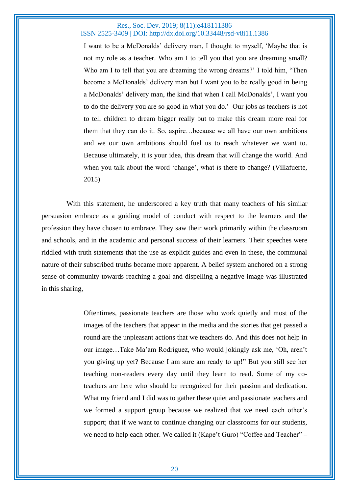I want to be a McDonalds' delivery man, I thought to myself, 'Maybe that is not my role as a teacher. Who am I to tell you that you are dreaming small? Who am I to tell that you are dreaming the wrong dreams?' I told him, "Then become a McDonalds' delivery man but I want you to be really good in being a McDonalds' delivery man, the kind that when I call McDonalds', I want you to do the delivery you are so good in what you do.' Our jobs as teachers is not to tell children to dream bigger really but to make this dream more real for them that they can do it. So, aspire…because we all have our own ambitions and we our own ambitions should fuel us to reach whatever we want to. Because ultimately, it is your idea, this dream that will change the world. And when you talk about the word 'change', what is there to change? (Villafuerte, 2015)

With this statement, he underscored a key truth that many teachers of his similar persuasion embrace as a guiding model of conduct with respect to the learners and the profession they have chosen to embrace. They saw their work primarily within the classroom and schools, and in the academic and personal success of their learners. Their speeches were riddled with truth statements that the use as explicit guides and even in these, the communal nature of their subscribed truths became more apparent. A belief system anchored on a strong sense of community towards reaching a goal and dispelling a negative image was illustrated in this sharing,

> Oftentimes, passionate teachers are those who work quietly and most of the images of the teachers that appear in the media and the stories that get passed a round are the unpleasant actions that we teachers do. And this does not help in our image…Take Ma'am Rodriguez, who would jokingly ask me, 'Oh, aren't you giving up yet? Because I am sure am ready to up!" But you still see her teaching non-readers every day until they learn to read. Some of my coteachers are here who should be recognized for their passion and dedication. What my friend and I did was to gather these quiet and passionate teachers and we formed a support group because we realized that we need each other's support; that if we want to continue changing our classrooms for our students, we need to help each other. We called it (Kape't Guro) "Coffee and Teacher" –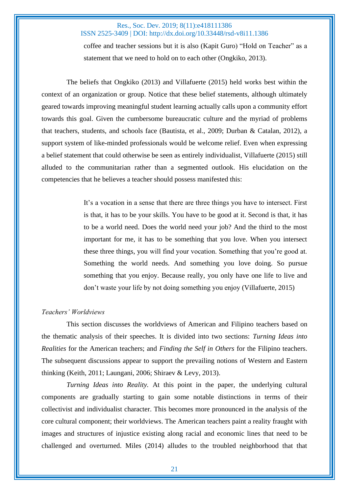coffee and teacher sessions but it is also (Kapit Guro) "Hold on Teacher" as a statement that we need to hold on to each other (Ongkiko, 2013).

The beliefs that Ongkiko (2013) and Villafuerte (2015) held works best within the context of an organization or group. Notice that these belief statements, although ultimately geared towards improving meaningful student learning actually calls upon a community effort towards this goal. Given the cumbersome bureaucratic culture and the myriad of problems that teachers, students, and schools face (Bautista, et al., 2009; Durban & Catalan, 2012), a support system of like-minded professionals would be welcome relief. Even when expressing a belief statement that could otherwise be seen as entirely individualist, Villafuerte (2015) still alluded to the communitarian rather than a segmented outlook. His elucidation on the competencies that he believes a teacher should possess manifested this:

> It's a vocation in a sense that there are three things you have to intersect. First is that, it has to be your skills. You have to be good at it. Second is that, it has to be a world need. Does the world need your job? And the third to the most important for me, it has to be something that you love. When you intersect these three things, you will find your vocation. Something that you're good at. Something the world needs. And something you love doing. So pursue something that you enjoy. Because really, you only have one life to live and don't waste your life by not doing something you enjoy (Villafuerte, 2015)

## *Teachers' Worldviews*

This section discusses the worldviews of American and Filipino teachers based on the thematic analysis of their speeches. It is divided into two sections: *Turning Ideas into Realities* for the American teachers; and *Finding the Self in Others* for the Filipino teachers. The subsequent discussions appear to support the prevailing notions of Western and Eastern thinking (Keith, 2011; Laungani, 2006; Shiraev & Levy, 2013).

*Turning Ideas into Reality.* At this point in the paper, the underlying cultural components are gradually starting to gain some notable distinctions in terms of their collectivist and individualist character. This becomes more pronounced in the analysis of the core cultural component; their worldviews. The American teachers paint a reality fraught with images and structures of injustice existing along racial and economic lines that need to be challenged and overturned. Miles (2014) alludes to the troubled neighborhood that that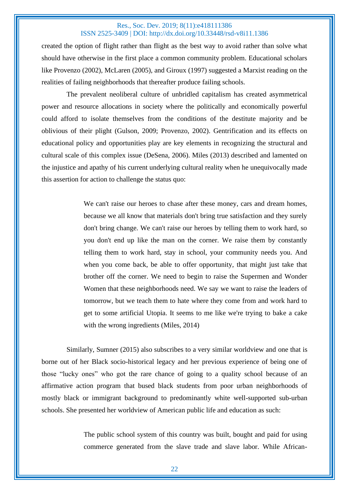created the option of flight rather than flight as the best way to avoid rather than solve what should have otherwise in the first place a common community problem. Educational scholars like Provenzo (2002), McLaren (2005), and Giroux (1997) suggested a Marxist reading on the realities of failing neighborhoods that thereafter produce failing schools.

The prevalent neoliberal culture of unbridled capitalism has created asymmetrical power and resource allocations in society where the politically and economically powerful could afford to isolate themselves from the conditions of the destitute majority and be oblivious of their plight (Gulson, 2009; Provenzo, 2002). Gentrification and its effects on educational policy and opportunities play are key elements in recognizing the structural and cultural scale of this complex issue (DeSena, 2006). Miles (2013) described and lamented on the injustice and apathy of his current underlying cultural reality when he unequivocally made this assertion for action to challenge the status quo:

> We can't raise our heroes to chase after these money, cars and dream homes, because we all know that materials don't bring true satisfaction and they surely don't bring change. We can't raise our heroes by telling them to work hard, so you don't end up like the man on the corner. We raise them by constantly telling them to work hard, stay in school, your community needs you. And when you come back, be able to offer opportunity, that might just take that brother off the corner. We need to begin to raise the Supermen and Wonder Women that these neighborhoods need. We say we want to raise the leaders of tomorrow, but we teach them to hate where they come from and work hard to get to some artificial Utopia. It seems to me like we're trying to bake a cake with the wrong ingredients (Miles, 2014)

Similarly, Sumner (2015) also subscribes to a very similar worldview and one that is borne out of her Black socio-historical legacy and her previous experience of being one of those "lucky ones" who got the rare chance of going to a quality school because of an affirmative action program that bused black students from poor urban neighborhoods of mostly black or immigrant background to predominantly white well-supported sub-urban schools. She presented her worldview of American public life and education as such:

> The public school system of this country was built, bought and paid for using commerce generated from the slave trade and slave labor. While African-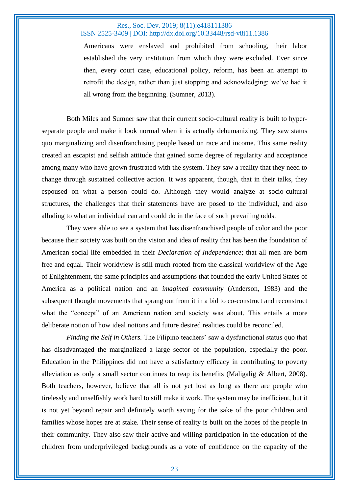Americans were enslaved and prohibited from schooling, their labor established the very institution from which they were excluded. Ever since then, every court case, educational policy, reform, has been an attempt to retrofit the design, rather than just stopping and acknowledging: we've had it all wrong from the beginning. (Sumner, 2013).

Both Miles and Sumner saw that their current socio-cultural reality is built to hyperseparate people and make it look normal when it is actually dehumanizing. They saw status quo marginalizing and disenfranchising people based on race and income. This same reality created an escapist and selfish attitude that gained some degree of regularity and acceptance among many who have grown frustrated with the system. They saw a reality that they need to change through sustained collective action. It was apparent, though, that in their talks, they espoused on what a person could do. Although they would analyze at socio-cultural structures, the challenges that their statements have are posed to the individual, and also alluding to what an individual can and could do in the face of such prevailing odds.

They were able to see a system that has disenfranchised people of color and the poor because their society was built on the vision and idea of reality that has been the foundation of American social life embedded in their *Declaration of Independence*; that all men are born free and equal. Their worldview is still much rooted from the classical worldview of the Age of Enlightenment, the same principles and assumptions that founded the early United States of America as a political nation and an *imagined community* (Anderson, 1983) and the subsequent thought movements that sprang out from it in a bid to co-construct and reconstruct what the "concept" of an American nation and society was about. This entails a more deliberate notion of how ideal notions and future desired realities could be reconciled.

*Finding the Self in Others.* The Filipino teachers' saw a dysfunctional status quo that has disadvantaged the marginalized a large sector of the population, especially the poor. Education in the Philippines did not have a satisfactory efficacy in contributing to poverty alleviation as only a small sector continues to reap its benefits (Maligalig  $\&$  Albert, 2008). Both teachers, however, believe that all is not yet lost as long as there are people who tirelessly and unselfishly work hard to still make it work. The system may be inefficient, but it is not yet beyond repair and definitely worth saving for the sake of the poor children and families whose hopes are at stake. Their sense of reality is built on the hopes of the people in their community. They also saw their active and willing participation in the education of the children from underprivileged backgrounds as a vote of confidence on the capacity of the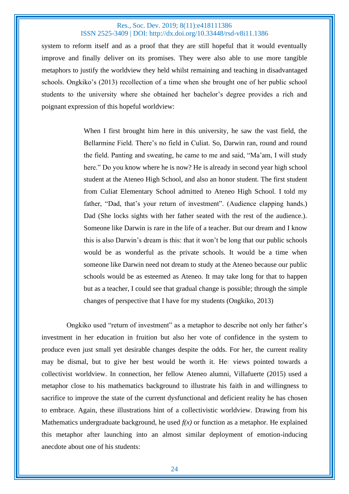system to reform itself and as a proof that they are still hopeful that it would eventually improve and finally deliver on its promises. They were also able to use more tangible metaphors to justify the worldview they held whilst remaining and teaching in disadvantaged schools. Ongkiko's (2013) recollection of a time when she brought one of her public school students to the university where she obtained her bachelor's degree provides a rich and poignant expression of this hopeful worldview:

> When I first brought him here in this university, he saw the vast field, the Bellarmine Field. There's no field in Culiat. So, Darwin ran, round and round the field. Panting and sweating, he came to me and said, "Ma'am, I will study here." Do you know where he is now? He is already in second year high school student at the Ateneo High School, and also an honor student. The first student from Culiat Elementary School admitted to Ateneo High School. I told my father, "Dad, that's your return of investment". (Audience clapping hands.) Dad (She locks sights with her father seated with the rest of the audience.). Someone like Darwin is rare in the life of a teacher. But our dream and I know this is also Darwin's dream is this: that it won't be long that our public schools would be as wonderful as the private schools. It would be a time when someone like Darwin need not dream to study at the Ateneo because our public schools would be as esteemed as Ateneo. It may take long for that to happen but as a teacher, I could see that gradual change is possible; through the simple changes of perspective that I have for my students (Ongkiko, 2013)

Ongkiko used "return of investment" as a metaphor to describe not only her father's investment in her education in fruition but also her vote of confidence in the system to produce even just small yet desirable changes despite the odds. For her, the current reality may be dismal, but to give her best would be worth it. Her views pointed towards a collectivist worldview. In connection, her fellow Ateneo alumni, Villafuerte (2015) used a metaphor close to his mathematics background to illustrate his faith in and willingness to sacrifice to improve the state of the current dysfunctional and deficient reality he has chosen to embrace. Again, these illustrations hint of a collectivistic worldview. Drawing from his Mathematics undergraduate background, he used  $f(x)$  or function as a metaphor. He explained this metaphor after launching into an almost similar deployment of emotion-inducing anecdote about one of his students: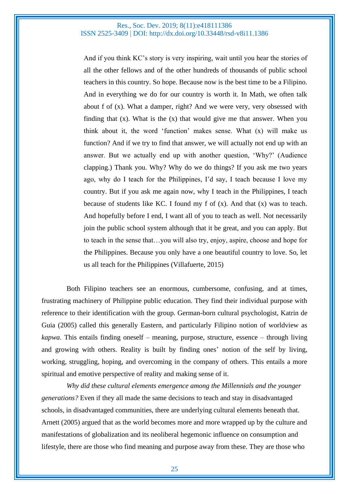And if you think KC's story is very inspiring, wait until you hear the stories of all the other fellows and of the other hundreds of thousands of public school teachers in this country. So hope. Because now is the best time to be a Filipino. And in everything we do for our country is worth it. In Math, we often talk about f of (x). What a damper, right? And we were very, very obsessed with finding that (x). What is the (x) that would give me that answer. When you think about it, the word 'function' makes sense. What (x) will make us function? And if we try to find that answer, we will actually not end up with an answer. But we actually end up with another question, 'Why?' (Audience clapping.) Thank you. Why? Why do we do things? If you ask me two years ago, why do I teach for the Philippines, I'd say, I teach because I love my country. But if you ask me again now, why I teach in the Philippines, I teach because of students like KC. I found my f of  $(x)$ . And that  $(x)$  was to teach. And hopefully before I end, I want all of you to teach as well. Not necessarily join the public school system although that it be great, and you can apply. But to teach in the sense that…you will also try, enjoy, aspire, choose and hope for the Philippines. Because you only have a one beautiful country to love. So, let us all teach for the Philippines (Villafuerte, 2015)

Both Filipino teachers see an enormous, cumbersome, confusing, and at times, frustrating machinery of Philippine public education. They find their individual purpose with reference to their identification with the group. German-born cultural psychologist, Katrin de Guia (2005) called this generally Eastern, and particularly Filipino notion of worldview as *kapwa*. This entails finding oneself – meaning, purpose, structure, essence – through living and growing with others. Reality is built by finding ones' notion of the self by living, working, struggling, hoping, and overcoming in the company of others. This entails a more spiritual and emotive perspective of reality and making sense of it.

*Why did these cultural elements emergence among the Millennials and the younger generations?* Even if they all made the same decisions to teach and stay in disadvantaged schools, in disadvantaged communities, there are underlying cultural elements beneath that. Arnett (2005) argued that as the world becomes more and more wrapped up by the culture and manifestations of globalization and its neoliberal hegemonic influence on consumption and lifestyle, there are those who find meaning and purpose away from these. They are those who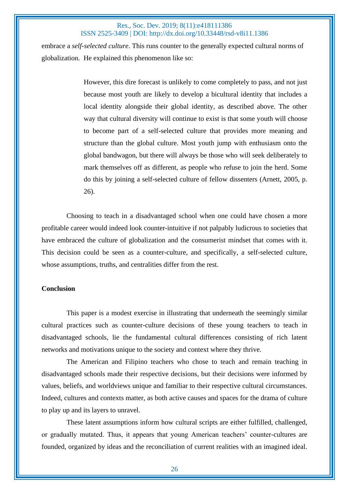embrace a *self-selected culture*. This runs counter to the generally expected cultural norms of globalization. He explained this phenomenon like so:

> However, this dire forecast is unlikely to come completely to pass, and not just because most youth are likely to develop a bicultural identity that includes a local identity alongside their global identity, as described above. The other way that cultural diversity will continue to exist is that some youth will choose to become part of a self-selected culture that provides more meaning and structure than the global culture. Most youth jump with enthusiasm onto the global bandwagon, but there will always be those who will seek deliberately to mark themselves off as different, as people who refuse to join the herd. Some do this by joining a self-selected culture of fellow dissenters (Arnett, 2005, p. 26).

Choosing to teach in a disadvantaged school when one could have chosen a more profitable career would indeed look counter-intuitive if not palpably ludicrous to societies that have embraced the culture of globalization and the consumerist mindset that comes with it. This decision could be seen as a counter-culture, and specifically, a self-selected culture, whose assumptions, truths, and centralities differ from the rest.

## **Conclusion**

This paper is a modest exercise in illustrating that underneath the seemingly similar cultural practices such as counter-culture decisions of these young teachers to teach in disadvantaged schools, lie the fundamental cultural differences consisting of rich latent networks and motivations unique to the society and context where they thrive.

The American and Filipino teachers who chose to teach and remain teaching in disadvantaged schools made their respective decisions, but their decisions were informed by values, beliefs, and worldviews unique and familiar to their respective cultural circumstances. Indeed, cultures and contexts matter, as both active causes and spaces for the drama of culture to play up and its layers to unravel.

These latent assumptions inform how cultural scripts are either fulfilled, challenged, or gradually mutated. Thus, it appears that young American teachers' counter-cultures are founded, organized by ideas and the reconciliation of current realities with an imagined ideal.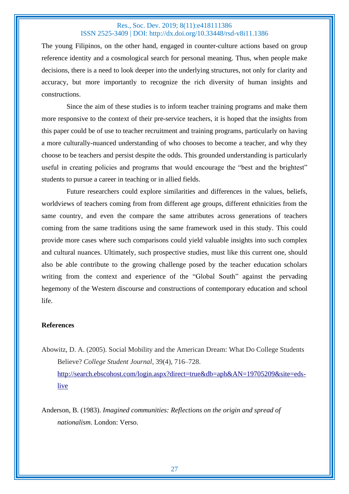The young Filipinos, on the other hand, engaged in counter-culture actions based on group reference identity and a cosmological search for personal meaning. Thus, when people make decisions, there is a need to look deeper into the underlying structures, not only for clarity and accuracy, but more importantly to recognize the rich diversity of human insights and constructions.

Since the aim of these studies is to inform teacher training programs and make them more responsive to the context of their pre-service teachers, it is hoped that the insights from this paper could be of use to teacher recruitment and training programs, particularly on having a more culturally-nuanced understanding of who chooses to become a teacher, and why they choose to be teachers and persist despite the odds. This grounded understanding is particularly useful in creating policies and programs that would encourage the "best and the brightest" students to pursue a career in teaching or in allied fields.

Future researchers could explore similarities and differences in the values, beliefs, worldviews of teachers coming from from different age groups, different ethnicities from the same country, and even the compare the same attributes across generations of teachers coming from the same traditions using the same framework used in this study. This could provide more cases where such comparisons could yield valuable insights into such complex and cultural nuances. Ultimately, such prospective studies, must like this current one, should also be able contribute to the growing challenge posed by the teacher education scholars writing from the context and experience of the "Global South" against the pervading hegemony of the Western discourse and constructions of contemporary education and school life.

### **References**

Abowitz, D. A. (2005). Social Mobility and the American Dream: What Do College Students Believe? *College Student Journal*, 39(4), 716–728. [http://search.ebscohost.com/login.aspx?direct=true&db=aph&AN=19705209&site=eds](http://search.ebscohost.com/login.aspx?direct=true&db=aph&AN=19705209&site=eds-live)[live](http://search.ebscohost.com/login.aspx?direct=true&db=aph&AN=19705209&site=eds-live)

Anderson, B. (1983). *Imagined communities: Reflections on the origin and spread of nationalism*. London: Verso.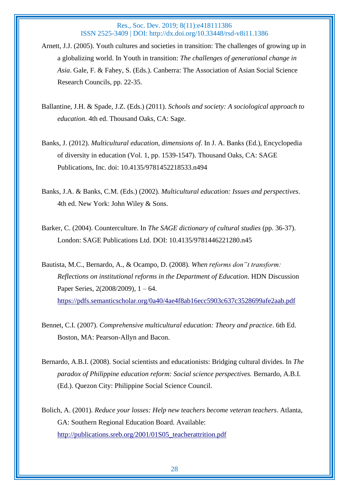- Arnett, J.J. (2005). Youth cultures and societies in transition: The challenges of growing up in a globalizing world. In Youth in transition: *The challenges of generational change in Asia*. Gale, F. & Fahey, S. (Eds.). Canberra: The Association of Asian Social Science Research Councils, pp. 22-35.
- Ballantine, J.H. & Spade, J.Z. (Eds.) (2011). *Schools and society: A sociological approach to education*. 4th ed. Thousand Oaks, CA: Sage.
- Banks, J. (2012). *Multicultural education, dimensions of*. In J. A. Banks (Ed.), Encyclopedia of diversity in education (Vol. 1, pp. 1539-1547). Thousand Oaks, CA: SAGE Publications, Inc. doi: 10.4135/9781452218533.n494
- Banks, J.A. & Banks, C.M. (Eds.) (2002). *Multicultural education: Issues and perspectives*. 4th ed. New York: John Wiley & Sons.
- Barker, C. (2004). Counterculture. In *The SAGE dictionary of cultural studies* (pp. 36-37). London: SAGE Publications Ltd. DOI: 10.4135/9781446221280.n45
- Bautista, M.C., Bernardo, A., & Ocampo, D. (2008). *When reforms don"t transform: Reflections on institutional reforms in the Department of Education*. HDN Discussion Paper Series, 2(2008/2009), 1 – 64. <https://pdfs.semanticscholar.org/0a40/4ae4f8ab16ecc5903c637c3528699afe2aab.pdf>
- Bennet, C.I. (2007). *Comprehensive multicultural education: Theory and practice*. 6th Ed. Boston, MA: Pearson-Allyn and Bacon.
- Bernardo, A.B.I. (2008). Social scientists and educationists: Bridging cultural divides. In *The paradox of Philippine education reform: Social science perspectives.* Bernardo, A.B.I. (Ed.). Quezon City: Philippine Social Science Council.
- Bolich, A. (2001). *Reduce your losses: Help new teachers become veteran teachers*. Atlanta, GA: Southern Regional Education Board. Available: [http://publications.sreb.org/2001/01S05\\_teacherattrition.pdf](http://publications.sreb.org/2001/01S05_teacherattrition.pdf)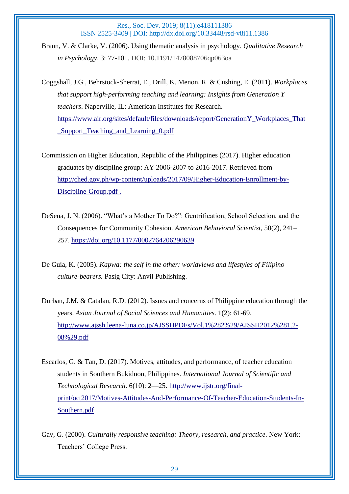Braun, V. & Clarke, V. (2006). Using thematic analysis in psychology. *Qualitative Research in Psychology*. 3: 77-101. DOI: [10.1191/1478088706qp063oa](https://doi.org/10.1191/1478088706qp063oa)

Coggshall, J.G., Behrstock-Sherrat, E., Drill, K. Menon, R. & Cushing, E. (2011). *Workplaces that support high-performing teaching and learning: Insights from Generation Y teachers*. Naperville, IL: American Institutes for Research. [https://www.air.org/sites/default/files/downloads/report/GenerationY\\_Workplaces\\_That](https://www.air.org/sites/default/files/downloads/report/GenerationY_Workplaces_That_Support_Teaching_and_Learning_0.pdf) [\\_Support\\_Teaching\\_and\\_Learning\\_0.pdf](https://www.air.org/sites/default/files/downloads/report/GenerationY_Workplaces_That_Support_Teaching_and_Learning_0.pdf)

Commission on Higher Education, Republic of the Philippines (2017). Higher education graduates by discipline group: AY 2006-2007 to 2016-2017. Retrieved from [http://ched.gov.ph/wp-content/uploads/2017/09/Higher-Education-Enrollment-by-](http://ched.gov.ph/wp-content/uploads/2017/09/Higher-Education-Enrollment-by-Discipline-Group.pdf)[Discipline-Group.pdf](http://ched.gov.ph/wp-content/uploads/2017/09/Higher-Education-Enrollment-by-Discipline-Group.pdf) .

- DeSena, J. N. (2006). "What's a Mother To Do?": Gentrification, School Selection, and the Consequences for Community Cohesion. *American Behavioral Scientist*, 50(2), 241– 257.<https://doi.org/10.1177/0002764206290639>
- De Guia, K. (2005). *Kapwa: the self in the other: worldviews and lifestyles of Filipino culture-bearers.* Pasig City: Anvil Publishing.
- Durban, J.M. & Catalan, R.D. (2012). Issues and concerns of Philippine education through the years. *Asian Journal of Social Sciences and Humanities*. 1(2): 61-69. [http://www.ajssh.leena-luna.co.jp/AJSSHPDFs/Vol.1%282%29/AJSSH2012%281.2-](http://www.ajssh.leena-luna.co.jp/AJSSHPDFs/Vol.1%282%29/AJSSH2012%281.2-08%29.pdf) [08%29.pdf](http://www.ajssh.leena-luna.co.jp/AJSSHPDFs/Vol.1%282%29/AJSSH2012%281.2-08%29.pdf)
- Escarlos, G. & Tan, D. (2017). Motives, attitudes, and performance, of teacher education students in Southern Bukidnon, Philippines. *International Journal of Scientific and Technological Research*. 6(10): 2—25. [http://www.ijstr.org/final](http://www.ijstr.org/final-print/oct2017/Motives-Attitudes-And-Performance-Of-Teacher-Education-Students-In-Southern.pdf)[print/oct2017/Motives-Attitudes-And-Performance-Of-Teacher-Education-Students-In-](http://www.ijstr.org/final-print/oct2017/Motives-Attitudes-And-Performance-Of-Teacher-Education-Students-In-Southern.pdf)[Southern.pdf](http://www.ijstr.org/final-print/oct2017/Motives-Attitudes-And-Performance-Of-Teacher-Education-Students-In-Southern.pdf)
- Gay, G. (2000). *Culturally responsive teaching: Theory, research, and practice*. New York: Teachers' College Press.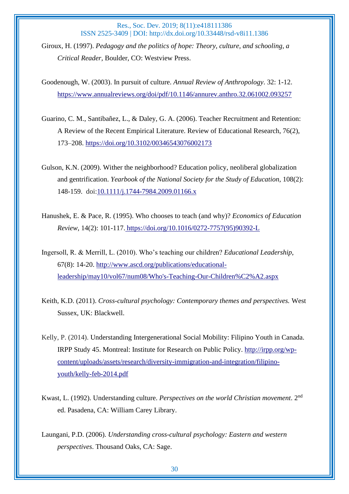Giroux, H. (1997). *Pedagogy and the politics of hope: Theory, culture, and schooling, a Critical Reader,* Boulder, CO: Westview Press.

Goodenough, W. (2003). In pursuit of culture. *Annual Review of Anthropology*. 32: 1-12. <https://www.annualreviews.org/doi/pdf/10.1146/annurev.anthro.32.061002.093257>

- Guarino, C. M., Santibañez, L., & Daley, G. A. (2006). Teacher Recruitment and Retention: A Review of the Recent Empirical Literature. Review of Educational Research, 76(2), 173–208.<https://doi.org/10.3102/00346543076002173>
- Gulson, K.N. (2009). Wither the neighborhood? Education policy, neoliberal globalization and gentrification. *Yearbook of the National Society for the Study of Education*, 108(2): 148-159. doi[:10.1111/j.1744-7984.2009.01166.x](https://doi.org/10.1111/j.1744-7984.2009.01166.x)
- Hanushek, E. & Pace, R. (1995). Who chooses to teach (and why)? *Economics of Education Review*, 14(2): 101-117. [https://doi.org/10.1016/0272-7757\(95\)90392-L](https://doi.org/10.1016/0272-7757(95)90392-L)
- Ingersoll, R. & Merrill, L. (2010). Who's teaching our children? *Educational Leadership*, 67(8): 14-20. [http://www.ascd.org/publications/educational](http://www.ascd.org/publications/educational-leadership/may10/vol67/num08/Who)[leadership/may10/vol67/num08/Who's-Teaching-Our-Children%C2%A2.aspx](http://www.ascd.org/publications/educational-leadership/may10/vol67/num08/Who)
- Keith, K.D. (2011). *Cross-cultural psychology: Contemporary themes and perspectives.* West Sussex, UK: Blackwell.
- Kelly, P. (2014). Understanding Intergenerational Social Mobility: Filipino Youth in Canada. IRPP Study 45. Montreal: Institute for Research on Public Policy. [http://irpp.org/wp](http://irpp.org/wp-content/uploads/assets/research/diversity-immigration-and-integration/filipino-youth/kelly-feb-2014.pdf)[content/uploads/assets/research/diversity-immigration-and-integration/filipino](http://irpp.org/wp-content/uploads/assets/research/diversity-immigration-and-integration/filipino-youth/kelly-feb-2014.pdf)[youth/kelly-feb-2014.pdf](http://irpp.org/wp-content/uploads/assets/research/diversity-immigration-and-integration/filipino-youth/kelly-feb-2014.pdf)
- Kwast, L. (1992). Understanding culture. *Perspectives on the world Christian movement*. 2nd ed. Pasadena, CA: William Carey Library.
- Laungani, P.D. (2006). *Understanding cross-cultural psychology: Eastern and western perspectives*. Thousand Oaks, CA: Sage.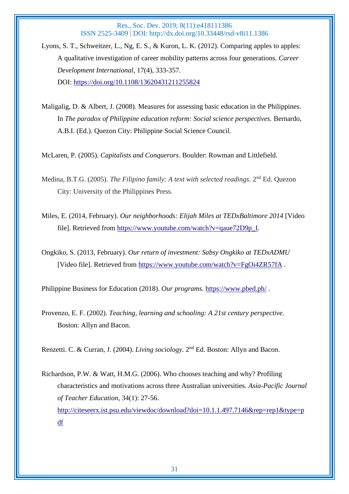- Lyons, S. T., Schweitzer, L., Ng, E. S., & Kuron, L. K. (2012). Comparing apples to apples: A qualitative investigation of career mobility patterns across four generations. *Career Development International*, 17(4), 333-357. DOI: <https://doi.org/10.1108/13620431211255824>
- Maligalig, D. & Albert, J. (2008). Measures for assessing basic education in the Philippines. In *The paradox of Philippine education reform: Social science perspectives.* Bernardo, A.B.I. (Ed.). Quezon City: Philippine Social Science Council.

McLaren, P. (2005). *Capitalists and Conquerors*. Boulder: Rowman and Littlefield.

- Medina, B.T.G. (2005). *The Filipino family: A text with selected readings*. 2<sup>nd</sup> Ed. Ouezon City: University of the Philippines Press.
- Miles, E. (2014, February). *Our neighborhoods: Elijah Miles at TEDxBaltimore 2014* [Video file]. Retrieved from [https://www.youtube.com/watch?v=qaue72D9p\\_I.](https://www.youtube.com/watch?v=qaue72D9p_I)
- Ongkiko, S. (2013, February). *Our return of investment: Sabsy Ongkiko at TEDxADMU* [Video file]. Retrieved from<https://www.youtube.com/watch?v=FgOi4ZR57fA> .

Philippine Business for Education (2018). *Our programs*.<https://www.pbed.ph/> .

Provenzo, E. F. (2002). *Teaching, learning and schooling: A 21st century perspective*. Boston: Allyn and Bacon.

Renzetti. C. & Curran, J. (2004). *Living sociology*. 2nd Ed. Boston: Allyn and Bacon.

Richardson, P.W. & Watt, H.M.G. (2006). Who chooses teaching and why? Profiling characteristics and motivations across three Australian universities. *Asia-Pacific Journal of Teacher Education*, 34(1): 27-56. [http://citeseerx.ist.psu.edu/viewdoc/download?doi=10.1.1.497.7146&rep=rep1&type=p](http://citeseerx.ist.psu.edu/viewdoc/download?doi=10.1.1.497.7146&rep=rep1&type=pdf) [df](http://citeseerx.ist.psu.edu/viewdoc/download?doi=10.1.1.497.7146&rep=rep1&type=pdf)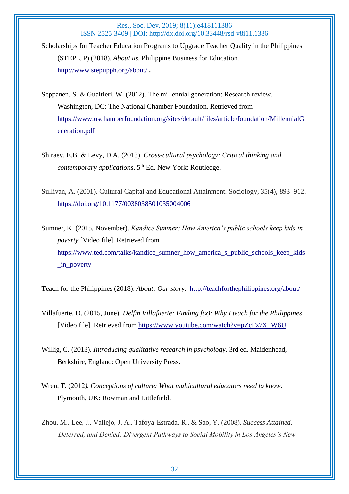Scholarships for Teacher Education Programs to Upgrade Teacher Quality in the Philippines (STEP UP) (2018). *About us*. Philippine Business for Education. <http://www.stepupph.org/about/> **.**

Seppanen, S. & Gualtieri, W. (2012). The millennial generation: Research review. Washington, DC: The National Chamber Foundation. Retrieved from [https://www.uschamberfoundation.org/sites/default/files/article/foundation/MillennialG](https://www.uschamberfoundation.org/sites/default/files/article/foundation/MillennialGeneration.pdf) [eneration.pdf](https://www.uschamberfoundation.org/sites/default/files/article/foundation/MillennialGeneration.pdf)

Shiraev, E.B. & Levy, D.A. (2013). *Cross-cultural psychology: Critical thinking and contemporary applications.* 5<sup>th</sup> Ed. New York: Routledge.

Sullivan, A. (2001). Cultural Capital and Educational Attainment. Sociology, 35(4), 893–912. <https://doi.org/10.1177/0038038501035004006>

Sumner, K. (2015, November). *Kandice Sumner: How America's public schools keep kids in poverty* [Video file]. Retrieved from [https://www.ted.com/talks/kandice\\_sumner\\_how\\_america\\_s\\_public\\_schools\\_keep\\_kids](https://www.ted.com/talks/kandice_sumner_how_america_s_public_schools_keep_kids_in_poverty) [\\_in\\_poverty](https://www.ted.com/talks/kandice_sumner_how_america_s_public_schools_keep_kids_in_poverty)

Teach for the Philippines (2018). *About: Our story*. <http://teachforthephilippines.org/about/>

- Villafuerte, D. (2015, June). *Delfin Villafuerte: Finding f(x): Why I teach for the Philippines* [Video file]. Retrieved from [https://www.youtube.com/watch?v=pZcFz7X\\_W6U](https://www.youtube.com/watch?v=pZcFz7X_W6U)
- Willig, C. (2013). *Introducing qualitative research in psychology*. 3rd ed. Maidenhead, Berkshire, England: Open University Press.
- Wren, T. (2012*). Conceptions of culture: What multicultural educators need to know*. Plymouth, UK: Rowman and Littlefield.
- Zhou, M., Lee, J., Vallejo, J. A., Tafoya-Estrada, R., & Sao, Y. (2008). *Success Attained, Deterred, and Denied: Divergent Pathways to Social Mobility in Los Angeles's New*